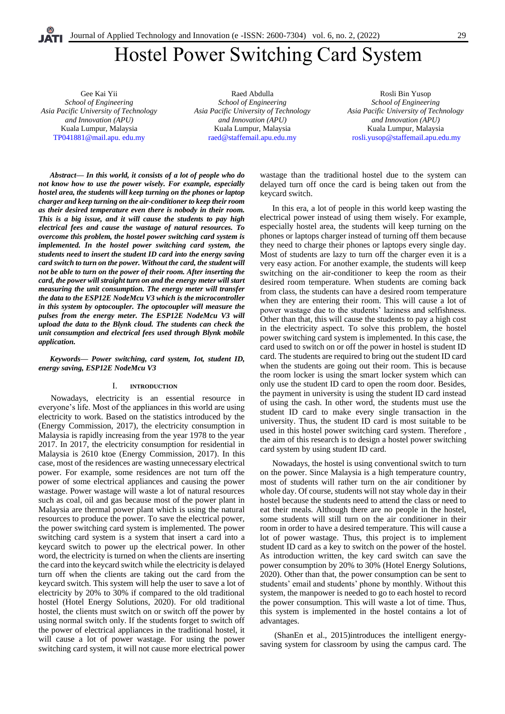# Hostel Power Switching Card System

Gee Kai Yii *School of Engineering Asia Pacific University of Technology and Innovation (APU)* Kuala Lumpur, Malaysia [TP041881@mail.apu. edu.my](mailto:TP041881@mail.apu.%20edu.my%20Raed%20Abdulla) 

[Raed Abdulla](mailto:TP041881@mail.apu.%20edu.my%20Raed%20Abdulla) *School of Engineering Asia Pacific University of Technology and Innovation (APU)* Kuala Lumpur, Malaysia [raed@staffemail.apu.edu.my](mailto:raed@staffemail.apu.edu.my)

Rosli Bin Yusop *School of Engineering Asia Pacific University of Technology and Innovation (APU)* Kuala Lumpur, Malaysia [rosli.yusop@staffemail.apu.edu.my](mailto:%20rosli.yusop@staffemail.apu.edu.my)

*Abstract***—** *In this world, it consists of a lot of people who do not know how to use the power wisely. For example, especially hostel area, the students will keep turning on the phones or laptop charger and keep turning on the air-conditioner to keep their room as their desired temperature even there is nobody in their room. This is a big issue, and it will cause the students to pay high electrical fees and cause the wastage of natural resources. To overcome this problem, the hostel power switching card system is implemented. In the hostel power switching card system, the students need to insert the student ID card into the energy saving card switch to turn on the power. Without the card, the student will not be able to turn on the power of their room. After inserting the card, the power will straight turn on and the energy meter will start measuring the unit consumption. The energy meter will transfer the data to the ESP12E NodeMcu V3 which is the microcontroller in this system by optocoupler. The optocoupler will measure the pulses from the energy meter. The ESP12E NodeMcu V3 will upload the data to the Blynk cloud. The students can check the unit consumption and electrical fees used through Blynk mobile application.*

#### *Keywords— Power switching, card system, Iot, student ID, energy saving, ESP12E NodeMcu V3*

## I. **INTRODUCTION**

Nowadays, electricity is an essential resource in everyone's life. Most of the appliances in this world are using electricity to work. Based on the statistics introduced by the (Energy Commission, 2017), the electricity consumption in Malaysia is rapidly increasing from the year 1978 to the year 2017. In 2017, the electricity consumption for residential in Malaysia is 2610 ktoe (Energy Commission, 2017). In this case, most of the residences are wasting unnecessary electrical power. For example, some residences are not turn off the power of some electrical appliances and causing the power wastage. Power wastage will waste a lot of natural resources such as coal, oil and gas because most of the power plant in Malaysia are thermal power plant which is using the natural resources to produce the power. To save the electrical power, the power switching card system is implemented. The power switching card system is a system that insert a card into a keycard switch to power up the electrical power. In other word, the electricity is turned on when the clients are inserting the card into the keycard switch while the electricity is delayed turn off when the clients are taking out the card from the keycard switch. This system will help the user to save a lot of electricity by 20% to 30% if compared to the old traditional hostel (Hotel Energy Solutions, 2020). For old traditional hostel, the clients must switch on or switch off the power by using normal switch only. If the students forget to switch off the power of electrical appliances in the traditional hostel, it will cause a lot of power wastage. For using the power switching card system, it will not cause more electrical power

wastage than the traditional hostel due to the system can delayed turn off once the card is being taken out from the keycard switch.

In this era, a lot of people in this world keep wasting the electrical power instead of using them wisely. For example, especially hostel area, the students will keep turning on the phones or laptops charger instead of turning off them because they need to charge their phones or laptops every single day. Most of students are lazy to turn off the charger even it is a very easy action. For another example, the students will keep switching on the air-conditioner to keep the room as their desired room temperature. When students are coming back from class, the students can have a desired room temperature when they are entering their room. This will cause a lot of power wastage due to the students' laziness and selfishness. Other than that, this will cause the students to pay a high cost in the electricity aspect. To solve this problem, the hostel power switching card system is implemented. In this case, the card used to switch on or off the power in hostel is student ID card. The students are required to bring out the student ID card when the students are going out their room. This is because the room locker is using the smart locker system which can only use the student ID card to open the room door. Besides, the payment in university is using the student ID card instead of using the cash. In other word, the students must use the student ID card to make every single transaction in the university. Thus, the student ID card is most suitable to be used in this hostel power switching card system. Therefore , the aim of this research is to design a hostel power switching card system by using student ID card.

Nowadays, the hostel is using conventional switch to turn on the power. Since Malaysia is a high temperature country, most of students will rather turn on the air conditioner by whole day. Of course, students will not stay whole day in their hostel because the students need to attend the class or need to eat their meals. Although there are no people in the hostel, some students will still turn on the air conditioner in their room in order to have a desired temperature. This will cause a lot of power wastage. Thus, this project is to implement student ID card as a key to switch on the power of the hostel. As introduction written, the key card switch can save the power consumption by 20% to 30% (Hotel Energy Solutions, 2020). Other than that, the power consumption can be sent to students' email and students' phone by monthly. Without this system, the manpower is needed to go to each hostel to record the power consumption. This will waste a lot of time. Thus, this system is implemented in the hostel contains a lot of advantages.

(ShanEn et al., 2015)introduces the intelligent energysaving system for classroom by using the campus card. The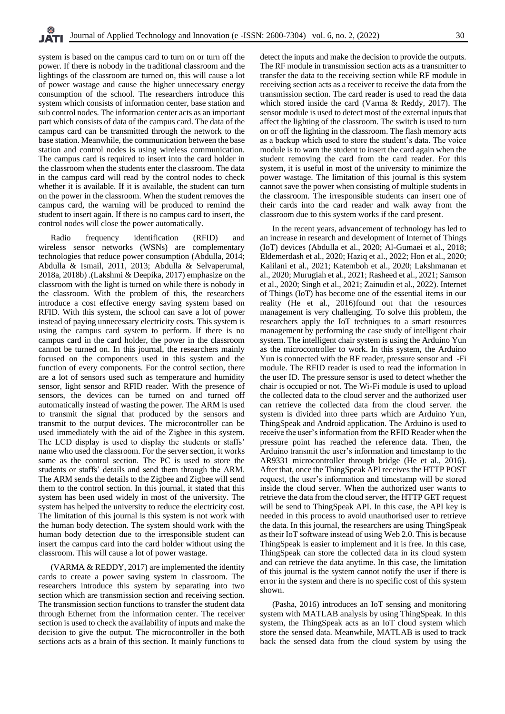system is based on the campus card to turn on or turn off the power. If there is nobody in the traditional classroom and the lightings of the classroom are turned on, this will cause a lot of power wastage and cause the higher unnecessary energy consumption of the school. The researchers introduce this system which consists of information center, base station and sub control nodes. The information center acts as an important part which consists of data of the campus card. The data of the campus card can be transmitted through the network to the base station. Meanwhile, the communication between the base station and control nodes is using wireless communication. The campus card is required to insert into the card holder in the classroom when the students enter the classroom. The data in the campus card will read by the control nodes to check whether it is available. If it is available, the student can turn on the power in the classroom. When the student removes the campus card, the warning will be produced to remind the student to insert again. If there is no campus card to insert, the control nodes will close the power automatically.

Radio frequency identification (RFID) and wireless sensor networks (WSNs) are complementary technologies that reduce power consumption (Abdulla, 2014; Abdulla & Ismail, 2011, 2013; Abdulla & Selvaperumal, 2018a, 2018b) .(Lakshmi & Deepika, 2017) emphasize on the classroom with the light is turned on while there is nobody in the classroom. With the problem of this, the researchers introduce a cost effective energy saving system based on RFID. With this system, the school can save a lot of power instead of paying unnecessary electricity costs. This system is using the campus card system to perform. If there is no campus card in the card holder, the power in the classroom cannot be turned on. In this journal, the researchers mainly focused on the components used in this system and the function of every components. For the control section, there are a lot of sensors used such as temperature and humidity sensor, light sensor and RFID reader. With the presence of sensors, the devices can be turned on and turned off automatically instead of wasting the power. The ARM is used to transmit the signal that produced by the sensors and transmit to the output devices. The microcontroller can be used immediately with the aid of the Zigbee in this system. The LCD display is used to display the students or staffs' name who used the classroom. For the server section, it works same as the control section. The PC is used to store the students or staffs' details and send them through the ARM. The ARM sends the details to the Zigbee and Zigbee will send them to the control section. In this journal, it stated that this system has been used widely in most of the university. The system has helped the university to reduce the electricity cost. The limitation of this journal is this system is not work with the human body detection. The system should work with the human body detection due to the irresponsible student can insert the campus card into the card holder without using the classroom. This will cause a lot of power wastage.

(VARMA & REDDY, 2017) are implemented the identity cards to create a power saving system in classroom. The researchers introduce this system by separating into two section which are transmission section and receiving section. The transmission section functions to transfer the student data through Ethernet from the information center. The receiver section is used to check the availability of inputs and make the decision to give the output. The microcontroller in the both sections acts as a brain of this section. It mainly functions to detect the inputs and make the decision to provide the outputs. The RF module in transmission section acts as a transmitter to transfer the data to the receiving section while RF module in receiving section acts as a receiver to receive the data from the transmission section. The card reader is used to read the data which stored inside the card (Varma & Reddy, 2017). The sensor module is used to detect most of the external inputs that affect the lighting of the classroom. The switch is used to turn on or off the lighting in the classroom. The flash memory acts as a backup which used to store the student's data. The voice module is to warn the student to insert the card again when the student removing the card from the card reader. For this system, it is useful in most of the university to minimize the power wastage. The limitation of this journal is this system cannot save the power when consisting of multiple students in the classroom. The irresponsible students can insert one of their cards into the card reader and walk away from the classroom due to this system works if the card present.

In the recent years, advancement of technology has led to an increase in research and development of Internet of Things (IoT) devices (Abdulla et al., 2020; Al-Gumaei et al., 2018; Eldemerdash et al., 2020; Haziq et al., 2022; Hon et al., 2020; Kalilani et al., 2021; Katemboh et al., 2020; Lakshmanan et al., 2020; Murugiah et al., 2021; Rasheed et al., 2021; Samson et al., 2020; Singh et al., 2021; Zainudin et al., 2022). Internet of Things (IoT) has become one of the essential items in our reality (He et al., 2016)found out that the resources management is very challenging. To solve this problem, the researchers apply the IoT techniques to a smart resources management by performing the case study of intelligent chair system. The intelligent chair system is using the Arduino Yun as the microcontroller to work. In this system, the Arduino Yun is connected with the RF reader, pressure sensor and -Fi module. The RFID reader is used to read the information in the user ID. The pressure sensor is used to detect whether the chair is occupied or not. The Wi-Fi module is used to upload the collected data to the cloud server and the authorized user can retrieve the collected data from the cloud server. the system is divided into three parts which are Arduino Yun, ThingSpeak and Android application. The Arduino is used to receive the user's information from the RFID Reader when the pressure point has reached the reference data. Then, the Arduino transmit the user's information and timestamp to the AR9331 microcontroller through bridge (He et al., 2016). After that, once the ThingSpeak API receives the HTTP POST request, the user's information and timestamp will be stored inside the cloud server. When the authorized user wants to retrieve the data from the cloud server, the HTTP GET request will be send to ThingSpeak API. In this case, the API key is needed in this process to avoid unauthorised user to retrieve the data. In this journal, the researchers are using ThingSpeak as their IoT software instead of using Web 2.0. This is because ThingSpeak is easier to implement and it is free. In this case, ThingSpeak can store the collected data in its cloud system and can retrieve the data anytime. In this case, the limitation of this journal is the system cannot notify the user if there is error in the system and there is no specific cost of this system shown.

(Pasha, 2016) introduces an IoT sensing and monitoring system with MATLAB analysis by using ThingSpeak. In this system, the ThingSpeak acts as an IoT cloud system which store the sensed data. Meanwhile, MATLAB is used to track back the sensed data from the cloud system by using the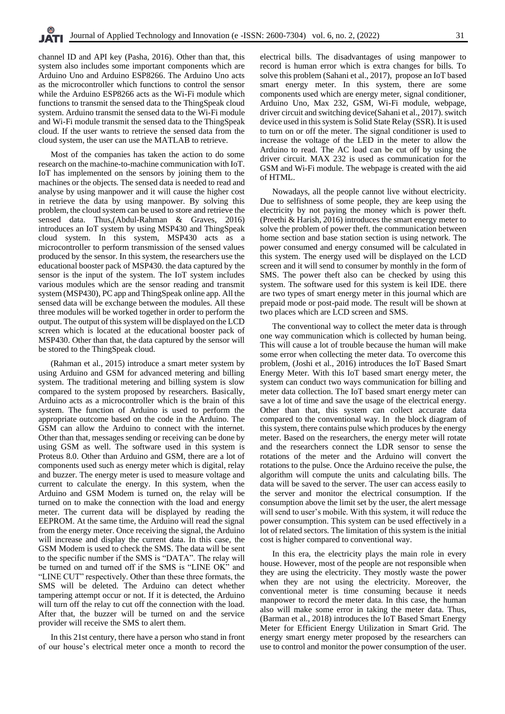channel ID and API key (Pasha, 2016). Other than that, this system also includes some important components which are Arduino Uno and Arduino ESP8266. The Arduino Uno acts as the microcontroller which functions to control the sensor while the Arduino ESP8266 acts as the Wi-Fi module which functions to transmit the sensed data to the ThingSpeak cloud system. Arduino transmit the sensed data to the Wi-Fi module and Wi-Fi module transmit the sensed data to the ThingSpeak cloud. If the user wants to retrieve the sensed data from the cloud system, the user can use the MATLAB to retrieve.

Most of the companies has taken the action to do some research on the machine-to-machine communication with IoT. IoT has implemented on the sensors by joining them to the machines or the objects. The sensed data is needed to read and analyse by using manpower and it will cause the higher cost in retrieve the data by using manpower. By solving this problem, the cloud system can be used to store and retrieve the sensed data. Thus,(Abdul-Rahman & Graves, 2016) introduces an IoT system by using MSP430 and ThingSpeak cloud system. In this system, MSP430 acts as a microcontroller to perform transmission of the sensed values produced by the sensor. In this system, the researchers use the educational booster pack of MSP430. the data captured by the sensor is the input of the system. The IoT system includes various modules which are the sensor reading and transmit system (MSP430), PC app and ThingSpeak online app. All the sensed data will be exchange between the modules. All these three modules will be worked together in order to perform the output. The output of this system will be displayed on the LCD screen which is located at the educational booster pack of MSP430. Other than that, the data captured by the sensor will be stored to the ThingSpeak cloud.

(Rahman et al., 2015) introduce a smart meter system by using Arduino and GSM for advanced metering and billing system. The traditional metering and billing system is slow compared to the system proposed by researchers. Basically, Arduino acts as a microcontroller which is the brain of this system. The function of Arduino is used to perform the appropriate outcome based on the code in the Arduino. The GSM can allow the Arduino to connect with the internet. Other than that, messages sending or receiving can be done by using GSM as well. The software used in this system is Proteus 8.0. Other than Arduino and GSM, there are a lot of components used such as energy meter which is digital, relay and buzzer. The energy meter is used to measure voltage and current to calculate the energy. In this system, when the Arduino and GSM Modem is turned on, the relay will be turned on to make the connection with the load and energy meter. The current data will be displayed by reading the EEPROM. At the same time, the Arduino will read the signal from the energy meter. Once receiving the signal, the Arduino will increase and display the current data. In this case, the GSM Modem is used to check the SMS. The data will be sent to the specific number if the SMS is "DATA". The relay will be turned on and turned off if the SMS is "LINE OK" and "LINE CUT" respectively. Other than these three formats, the SMS will be deleted. The Arduino can detect whether tampering attempt occur or not. If it is detected, the Arduino will turn off the relay to cut off the connection with the load. After that, the buzzer will be turned on and the service provider will receive the SMS to alert them.

In this 21st century, there have a person who stand in front of our house's electrical meter once a month to record the electrical bills. The disadvantages of using manpower to record is human error which is extra changes for bills. To solve this problem (Sahani et al., 2017), propose an IoT based smart energy meter. In this system, there are some components used which are energy meter, signal conditioner, Arduino Uno, Max 232, GSM, Wi-Fi module, webpage, driver circuit and switching device(Sahani et al., 2017). switch device used in this system is Solid State Relay (SSR). It is used to turn on or off the meter. The signal conditioner is used to increase the voltage of the LED in the meter to allow the Arduino to read. The AC load can be cut off by using the driver circuit. MAX 232 is used as communication for the GSM and Wi-Fi module. The webpage is created with the aid of HTML.

Nowadays, all the people cannot live without electricity. Due to selfishness of some people, they are keep using the electricity by not paying the money which is power theft. (Preethi & Harish, 2016) introduces the smart energy meter to solve the problem of power theft. the communication between home section and base station section is using network. The power consumed and energy consumed will be calculated in this system. The energy used will be displayed on the LCD screen and it will send to consumer by monthly in the form of SMS. The power theft also can be checked by using this system. The software used for this system is keil IDE. there are two types of smart energy meter in this journal which are prepaid mode or post-paid mode. The result will be shown at two places which are LCD screen and SMS.

The conventional way to collect the meter data is through one way communication which is collected by human being. This will cause a lot of trouble because the human will make some error when collecting the meter data. To overcome this problem, (Joshi et al., 2016) introduces the IoT Based Smart Energy Meter. With this IoT based smart energy meter, the system can conduct two ways communication for billing and meter data collection. The IoT based smart energy meter can save a lot of time and save the usage of the electrical energy. Other than that, this system can collect accurate data compared to the conventional way. In the block diagram of this system, there contains pulse which produces by the energy meter. Based on the researchers, the energy meter will rotate and the researchers connect the LDR sensor to sense the rotations of the meter and the Arduino will convert the rotations to the pulse. Once the Arduino receive the pulse, the algorithm will compute the units and calculating bills. The data will be saved to the server. The user can access easily to the server and monitor the electrical consumption. If the consumption above the limit set by the user, the alert message will send to user's mobile. With this system, it will reduce the power consumption. This system can be used effectively in a lot of related sectors. The limitation of this system is the initial cost is higher compared to conventional way.

In this era, the electricity plays the main role in every house. However, most of the people are not responsible when they are using the electricity. They mostly waste the power when they are not using the electricity. Moreover, the conventional meter is time consuming because it needs manpower to record the meter data. In this case, the human also will make some error in taking the meter data. Thus, (Barman et al., 2018) introduces the IoT Based Smart Energy Meter for Efficient Energy Utilization in Smart Grid. The energy smart energy meter proposed by the researchers can use to control and monitor the power consumption of the user.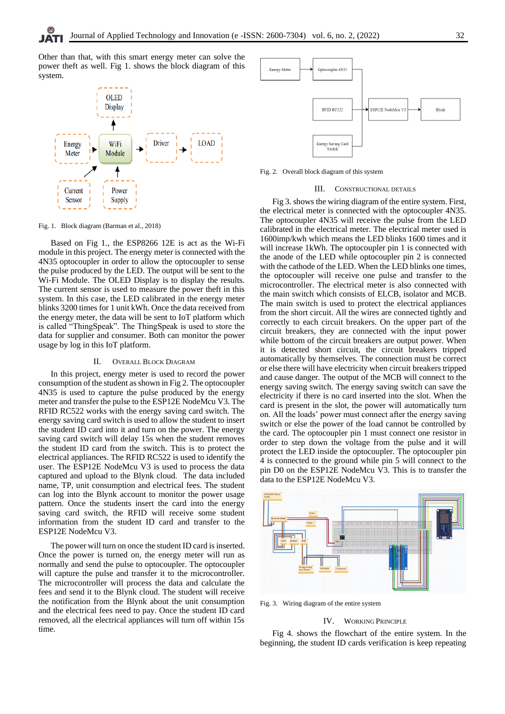Other than that, with this smart energy meter can solve the power theft as well. Fig 1. shows the block diagram of this system.



Fig. 1. Block diagram (Barman et al., 2018)

Based on Fig 1., the ESP8266 12E is act as the Wi-Fi module in this project. The energy meter is connected with the 4N35 optocoupler in order to allow the optocoupler to sense the pulse produced by the LED. The output will be sent to the Wi-Fi Module. The OLED Display is to display the results. The current sensor is used to measure the power theft in this system. In this case, the LED calibrated in the energy meter blinks 3200 times for 1 unit kWh. Once the data received from the energy meter, the data will be sent to IoT platform which is called "ThingSpeak". The ThingSpeak is used to store the data for supplier and consumer. Both can monitor the power usage by log in this IoT platform.

#### II. OVERALL BLOCK DIAGRAM

In this project, energy meter is used to record the power consumption of the student as shown in Fig 2. The optocoupler 4N35 is used to capture the pulse produced by the energy meter and transfer the pulse to the ESP12E NodeMcu V3. The RFID RC522 works with the energy saving card switch. The energy saving card switch is used to allow the student to insert the student ID card into it and turn on the power. The energy saving card switch will delay 15s when the student removes the student ID card from the switch. This is to protect the electrical appliances. The RFID RC522 is used to identify the user. The ESP12E NodeMcu V3 is used to process the data captured and upload to the Blynk cloud. The data included name, TP, unit consumption and electrical fees. The student can log into the Blynk account to monitor the power usage pattern. Once the students insert the card into the energy saving card switch, the RFID will receive some student information from the student ID card and transfer to the ESP12E NodeMcu V3.

The power will turn on once the student ID card is inserted. Once the power is turned on, the energy meter will run as normally and send the pulse to optocoupler. The optocoupler will capture the pulse and transfer it to the microcontroller. The microcontroller will process the data and calculate the fees and send it to the Blynk cloud. The student will receive the notification from the Blynk about the unit consumption and the electrical fees need to pay. Once the student ID card removed, all the electrical appliances will turn off within 15s time.



Fig. 2. Overall block diagram of this system

#### III. CONSTRUCTIONAL DETAILS

Fig 3. shows the wiring diagram of the entire system. First, the electrical meter is connected with the optocoupler 4N35. The optocoupler 4N35 will receive the pulse from the LED calibrated in the electrical meter. The electrical meter used is 1600imp/kwh which means the LED blinks 1600 times and it will increase 1kWh. The optocoupler pin 1 is connected with the anode of the LED while optocoupler pin 2 is connected with the cathode of the LED. When the LED blinks one times, the optocoupler will receive one pulse and transfer to the microcontroller. The electrical meter is also connected with the main switch which consists of ELCB, isolator and MCB. The main switch is used to protect the electrical appliances from the short circuit. All the wires are connected tightly and correctly to each circuit breakers. On the upper part of the circuit breakers, they are connected with the input power while bottom of the circuit breakers are output power. When it is detected short circuit, the circuit breakers tripped automatically by themselves. The connection must be correct or else there will have electricity when circuit breakers tripped and cause danger. The output of the MCB will connect to the energy saving switch. The energy saving switch can save the electricity if there is no card inserted into the slot. When the card is present in the slot, the power will automatically turn on. All the loads' power must connect after the energy saving switch or else the power of the load cannot be controlled by the card. The optocoupler pin 1 must connect one resistor in order to step down the voltage from the pulse and it will protect the LED inside the optocoupler. The optocoupler pin 4 is connected to the ground while pin 5 will connect to the pin D0 on the ESP12E NodeMcu V3. This is to transfer the data to the ESP12E NodeMcu V3.



Fig. 3. Wiring diagram of the entire system

#### IV. WORKING PRINCIPLE

Fig 4. shows the flowchart of the entire system. In the beginning, the student ID cards verification is keep repeating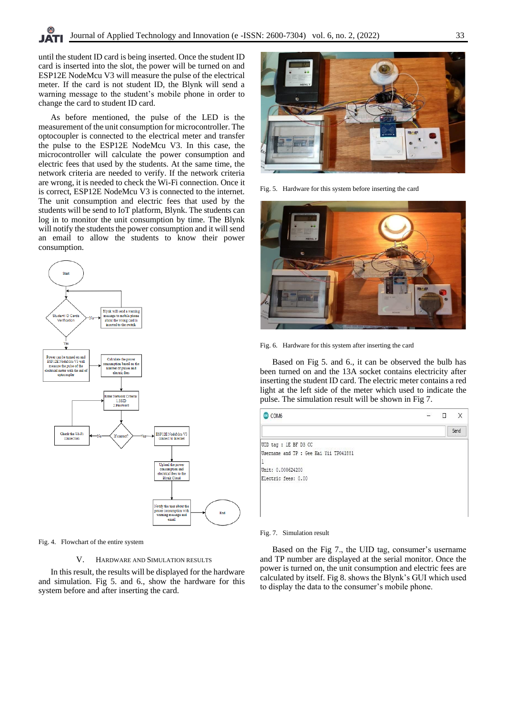until the student ID card is being inserted. Once the student ID card is inserted into the slot, the power will be turned on and ESP12E NodeMcu V3 will measure the pulse of the electrical meter. If the card is not student ID, the Blynk will send a warning message to the student's mobile phone in order to change the card to student ID card.

As before mentioned, the pulse of the LED is the measurement of the unit consumption for microcontroller. The optocoupler is connected to the electrical meter and transfer the pulse to the ESP12E NodeMcu V3. In this case, the microcontroller will calculate the power consumption and electric fees that used by the students. At the same time, the network criteria are needed to verify. If the network criteria are wrong, it is needed to check the Wi-Fi connection. Once it is correct, ESP12E NodeMcu V3 is connected to the internet. The unit consumption and electric fees that used by the students will be send to IoT platform, Blynk. The students can log in to monitor the unit consumption by time. The Blynk will notify the students the power consumption and it will send an email to allow the students to know their power consumption.



Fig. 4. Flowchart of the entire system

## V. HARDWARE AND SIMULATION RESULTS

In this result, the results will be displayed for the hardware and simulation. Fig 5. and 6., show the hardware for this system before and after inserting the card.



Fig. 5. Hardware for this system before inserting the card



Fig. 6. Hardware for this system after inserting the card

Based on Fig 5. and 6., it can be observed the bulb has been turned on and the 13A socket contains electricity after inserting the student ID card. The electric meter contains a red light at the left side of the meter which used to indicate the pulse. The simulation result will be shown in Fig 7.



#### Fig. 7. Simulation result

Based on the Fig 7., the UID tag, consumer's username and TP number are displayed at the serial monitor. Once the power is turned on, the unit consumption and electric fees are calculated by itself. Fig 8. shows the Blynk's GUI which used to display the data to the consumer's mobile phone.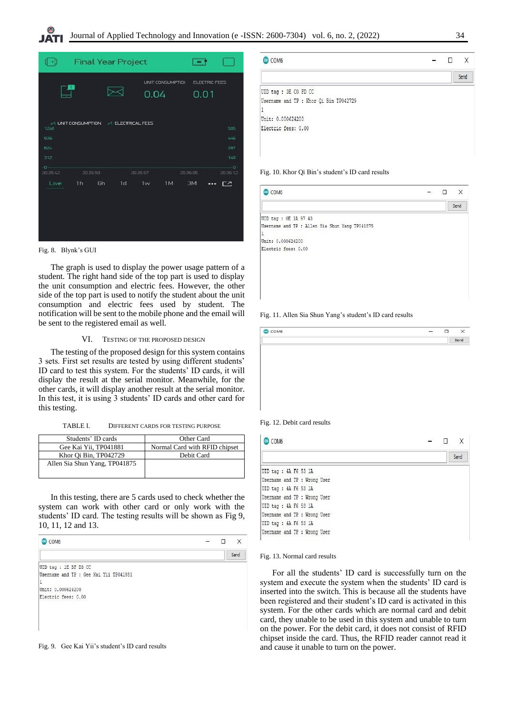| ∣⊂‡                                | <b>Final Year Project</b>            |          |               |                         |              |               |                                   |
|------------------------------------|--------------------------------------|----------|---------------|-------------------------|--------------|---------------|-----------------------------------|
|                                    |                                      |          | 0.04          | <b>UNIT CONSUMPTION</b> | 0.01         | ELECTRIC FEES |                                   |
| 1248<br>936<br>624<br>312<br>$-0-$ | M UNIT CONSUMPTION M ELECTRICAL FEES |          |               |                         |              |               | 595<br>445<br>297<br>149<br>$-0-$ |
| 20:35:42<br>Live                   | 203550<br>1h                         | 6h<br>1d | 2035.57<br>1w | 1M                      | 203605<br>3M | $\cdots$      | 20:36:12<br>ロペ                    |

Fig. 8. Blynk's GUI

The graph is used to display the power usage pattern of a student. The right hand side of the top part is used to display the unit consumption and electric fees. However, the other side of the top part is used to notify the student about the unit consumption and electric fees used by student. The notification will be sent to the mobile phone and the email will be sent to the registered email as well.

## VI. TESTING OF THE PROPOSED DESIGN

The testing of the proposed design for this system contains 3 sets. First set results are tested by using different students' ID card to test this system. For the students' ID cards, it will display the result at the serial monitor. Meanwhile, for the other cards, it will display another result at the serial monitor. In this test, it is using 3 students' ID cards and other card for this testing.

TABLE I. DIFFERENT CARDS FOR TESTING PURPOSE

| Students' ID cards            | Other Card                    |
|-------------------------------|-------------------------------|
| Gee Kai Yii, TP041881         | Normal Card with RFID chipset |
| Khor Qi Bin, TP042729         | Debit Card                    |
| Allen Sia Shun Yang, TP041875 |                               |
|                               |                               |

In this testing, there are 5 cards used to check whether the system can work with other card or only work with the students' ID card. The testing results will be shown as Fig 9, 10, 11, 12 and 13.





| COM6                                   | Χ    |
|----------------------------------------|------|
|                                        | Send |
| UID tag : 3E CO FD CC                  |      |
| Username and TP : Khor Qi Bin TP042729 |      |
|                                        |      |
|                                        |      |
| Unit: 0.000624200                      |      |

#### Fig. 10. Khor Qi Bin's student's ID card results

| COM <sub>6</sub>                                     | ,,,,, | Ο | X    |
|------------------------------------------------------|-------|---|------|
|                                                      |       |   | Send |
| UID tag : OE 1A 97 43                                |       |   |      |
| Username and TP : Allen Sia Shun Yang TP041875<br> 1 |       |   |      |
| Unit: 0.000624200                                    |       |   |      |
| Electric fees: 0.00                                  |       |   |      |
|                                                      |       |   |      |
|                                                      |       |   |      |
|                                                      |       |   |      |
|                                                      |       |   |      |
|                                                      |       |   |      |
|                                                      |       |   |      |



| Send |
|------|
|      |
|      |
|      |
|      |
|      |
|      |
|      |
|      |

Fig. 12. Debit card results

| COM6                         |      |  |  |
|------------------------------|------|--|--|
|                              | Send |  |  |
| UID tag : 4A F6 53 1A        |      |  |  |
| Username and TP : Wrong User |      |  |  |
| UID tag : 4A F6 53 1A        |      |  |  |
| Username and TP : Wrong User |      |  |  |
| UID tag : 4A F6 53 1A        |      |  |  |
| Username and TP : Wrong User |      |  |  |
| UID tag : 4A F6 53 1A        |      |  |  |
| Username and TP : Wrong User |      |  |  |

Fig. 13. Normal card results

For all the students' ID card is successfully turn on the system and execute the system when the students' ID card is inserted into the switch. This is because all the students have been registered and their student's ID card is activated in this system. For the other cards which are normal card and debit card, they unable to be used in this system and unable to turn on the power. For the debit card, it does not consist of RFID chipset inside the card. Thus, the RFID reader cannot read it and cause it unable to turn on the power.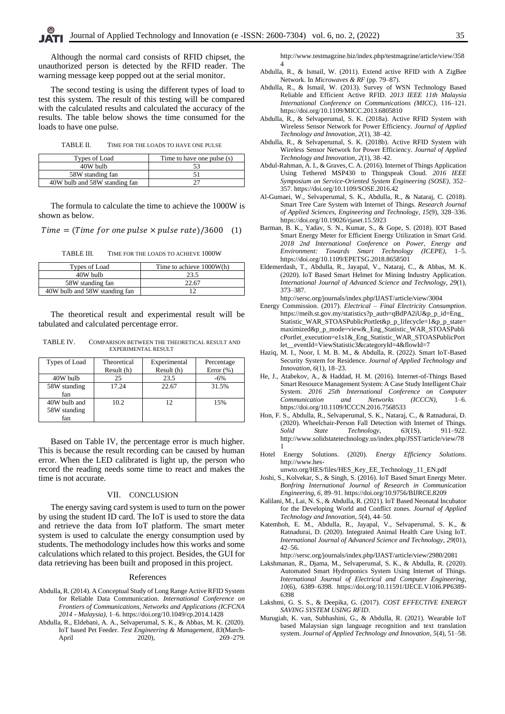Although the normal card consists of RFID chipset, the unauthorized person is detected by the RFID reader. The warning message keep popped out at the serial monitor.

The second testing is using the different types of load to test this system. The result of this testing will be compared with the calculated results and calculated the accuracy of the results. The table below shows the time consumed for the loads to have one pulse.

TABLE II. TIME FOR THE LOADS TO HAVE ONE PULSE

| Types of Load                 | Time to have one pulse (s) |
|-------------------------------|----------------------------|
| 40W bulb                      |                            |
| 58W standing fan              |                            |
| 40W bulb and 58W standing fan |                            |

The formula to calculate the time to achieve the 1000W is shown as below.

 $Time = (Time for one pulse \times pulse rate)/3600$  (1)

TABLE III. TIME FOR THE LOADS TO ACHIEVE 1000W

| Types of Load                 | Time to achieve 1000W(h) |
|-------------------------------|--------------------------|
| 40W bulb                      | 23.5                     |
| 58W standing fan              | 22.67                    |
| 40W bulb and 58W standing fan |                          |

The theoretical result and experimental result will be tabulated and calculated percentage error.

TABLE IV. COMPARISON BETWEEN THE THEORETICAL RESULT AND EXPERIMENTAL RESULT

| Types of Load                       | Theoretical | Experimental | Percentage   |
|-------------------------------------|-------------|--------------|--------------|
|                                     | Result (h)  | Result (h)   | Error $(\%)$ |
| 40W bulb                            | 25          | 23.5         | $-6\%$       |
| 58W standing<br>fan                 | 17.24       | 22.67        | 31.5%        |
| 40W bulb and<br>58W standing<br>fan | 10.2        | 12           | 15%          |

Based on Table IV, the percentage error is much higher. This is because the result recording can be caused by human error. When the LED calibrated is light up, the person who record the reading needs some time to react and makes the time is not accurate.

## VII. CONCLUSION

The energy saving card system is used to turn on the power by using the student ID card. The IoT is used to store the data and retrieve the data from IoT platform. The smart meter system is used to calculate the energy consumption used by students. The methodology includes how this works and some calculations which related to this project. Besides, the GUI for data retrieving has been built and proposed in this project.

#### References

- Abdulla, R. (2014). A Conceptual Study of Long Range Active RFID System for Reliable Data Communication. *International Conference on Frontiers of Communications, Networks and Applications (ICFCNA 2014 - Malaysia)*, 1–6. https://doi.org/10.1049/cp.2014.1428
- Abdulla, R., Eldebani, A. A., Selvaperumal, S. K., & Abbas, M. K. (2020). IoT based Pet Feeder. *Test Engineering & Management*, *83*(March-April 2020), 269–279.

http://www.testmagzine.biz/index.php/testmagzine/article/view/358 4

- Abdulla, R., & Ismail, W. (2011). Extend active RFID with A ZigBee Network. In *Microwaves & RF* (pp. 79–87).
- Abdulla, R., & Ismail, W. (2013). Survey of WSN Technology Based Reliable and Efficient Active RFID. *2013 IEEE 11th Malaysia International Conference on Communications (MICC)*, 116–121. https://doi.org/10.1109/MICC.2013.6805810
- Abdulla, R., & Selvaperumal, S. K. (2018a). Active RFID System with Wireless Sensor Network for Power Efficiency. *Journal of Applied Technology and Innovation*, *2*(1), 38–42.
- Abdulla, R., & Selvaperumal, S. K. (2018b). Active RFID System with Wireless Sensor Network for Power Efficiency. *Journal of Applied Technology and Innovation*, *2*(1), 38–42.
- Abdul-Rahman, A. I., & Graves, C. A. (2016). Internet of Things Application Using Tethered MSP430 to Thingspeak Cloud. *2016 IEEE Symposium on Service-Oriented System Engineering (SOSE)*, 352– 357. https://doi.org/10.1109/SOSE.2016.42
- Al-Gumaei, W., Selvaperumal, S. K., Abdulla, R., & Nataraj, C. (2018). Smart Tree Care System with Internet of Things. *Research Journal of Applied Sciences, Engineering and Technology*, *15*(9), 328–336. https://doi.org/10.19026/rjaset.15.5923
- Barman, B. K., Yadav, S. N., Kumar, S., & Gope, S. (2018). IOT Based Smart Energy Meter for Efficient Energy Utilization in Smart Grid. *2018 2nd International Conference on Power, Energy and Environment: Towards Smart Technology (ICEPE)*, 1–5. https://doi.org/10.1109/EPETSG.2018.8658501
- Eldemerdash, T., Abdulla, R., Jayapal, V., Nataraj, C., & Abbas, M. K. (2020). IoT Based Smart Helmet for Mining Industry Application. *International Journal of Advanced Science and Technology*, *29*(1), 373–387.

http://sersc.org/journals/index.php/IJAST/article/view/3004

- Energy Commission. (2017). *Electrical – Final Electricity Consumption*. https://meih.st.gov.my/statistics?p\_auth=qBdPA2iU&p\_p\_id=Eng\_ Statistic\_WAR\_STOASPublicPortlet&p\_p\_lifecycle=1&p\_p\_state= maximized&p\_p\_mode=view&\_Eng\_Statistic\_WAR\_STOASPubli cPortlet\_execution=e1s1&\_Eng\_Statistic\_WAR\_STOASPublicPort let\_\_eventId=ViewStatistic3&categoryId=4&flowId=7
- Haziq, M. I., Noor, I. M. B. M., & Abdulla, R. (2022). Smart IoT-Based Security System for Residence. *Journal of Applied Technology and Innovation*, *6*(1), 18–23.
- He, J., Atabekov, A., & Haddad, H. M. (2016). Internet-of-Things Based Smart Resource Management System: A Case Study Intelligent Chair System. *2016 25th International Conference on Computer Communication and Networks (ICCCN)*, 1–6. https://doi.org/10.1109/ICCCN.2016.7568533
- Hon, F. S., Abdulla, R., Selvaperumal, S. K., Nataraj, C., & Ratnadurai, D. (2020). Wheelchair-Person Fall Detection with Internet of Things. *Solid State Technology*, *63*(1S), 911–922. http://www.solidstatetechnology.us/index.php/JSST/article/view/78 1
- Hotel Energy Solutions. (2020). *Energy Efficiency Solutions*. http://www.hes-

unwto.org/HES/files/HES\_Key\_EE\_Technology\_11\_EN.pdf

- Joshi, S., Kolvekar, S., & Singh, S. (2016). IoT Based Smart Energy Meter. *Bonfring International Journal of Research in Communication Engineering*, *6*, 89–91. https://doi.org/10.9756/BIJRCE.8209
- Kalilani, M., Lai, N. S., & Abdulla, R. (2021). IoT Based Neonatal Incubator for the Developing World and Conflict zones. *Journal of Applied Technology and Innovation*, *5*(4), 44–50.
- Katemboh, E. M., Abdulla, R., Jayapal, V., Selvaperumal, S. K., & Ratnadurai, D. (2020). Integrated Animal Health Care Using IoT. *International Journal of Advanced Science and Technology*, *29*(01), 42–56.
	- http://sersc.org/journals/index.php/IJAST/article/view/2980/2081
- Lakshmanan, R., Djama, M., Selvaperumal, S. K., & Abdulla, R. (2020). Automated Smart Hydroponics System Using Internet of Things. *International Journal of Electrical and Computer Engineering*, *10*(6), 6389–6398. https://doi.org/10.11591/IJECE.V10I6.PP6389- 6398
- Lakshmi, G. S. S., & Deepika, G. (2017). *COST EFFECTIVE ENERGY SAVING SYSTEM USING RFID*.
- Murugiah, K. van, Subhashini, G., & Abdulla, R. (2021). Wearable IoT based Malaysian sign language recognition and text translation system. *Journal of Applied Technology and Innovation*, *5*(4), 51–58.